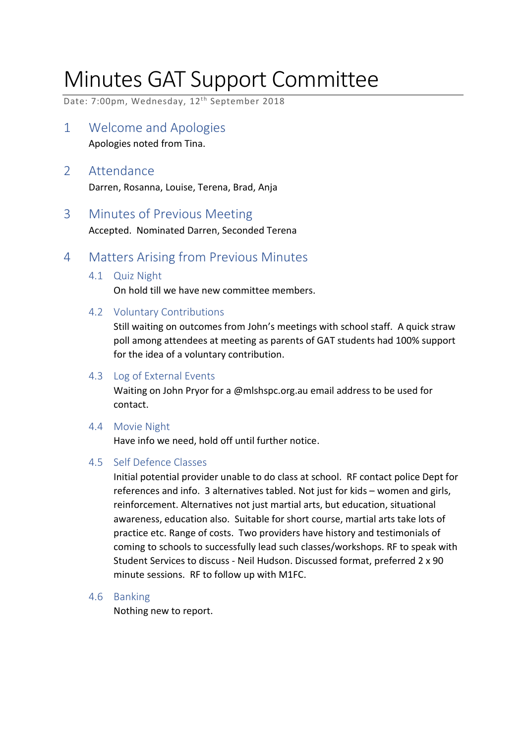# Minutes GAT Support Committee

Date: 7:00pm, Wednesday, 12<sup>th</sup> September 2018

1 Welcome and Apologies Apologies noted from Tina.

# 2 Attendance Darren, Rosanna, Louise, Terena, Brad, Anja

# 3 Minutes of Previous Meeting

Accepted. Nominated Darren, Seconded Terena

# 4 Matters Arising from Previous Minutes

4.1 Quiz Night

On hold till we have new committee members.

## 4.2 Voluntary Contributions

Still waiting on outcomes from John's meetings with school staff. A quick straw poll among attendees at meeting as parents of GAT students had 100% support for the idea of a voluntary contribution.

## 4.3 Log of External Events

Waiting on John Pryor for a @mlshspc.org.au email address to be used for contact.

# 4.4 Movie Night

Have info we need, hold off until further notice.

# 4.5 Self Defence Classes

Initial potential provider unable to do class at school. RF contact police Dept for references and info. 3 alternatives tabled. Not just for kids – women and girls, reinforcement. Alternatives not just martial arts, but education, situational awareness, education also. Suitable for short course, martial arts take lots of practice etc. Range of costs. Two providers have history and testimonials of coming to schools to successfully lead such classes/workshops. RF to speak with Student Services to discuss - Neil Hudson. Discussed format, preferred 2 x 90 minute sessions. RF to follow up with M1FC.

## 4.6 Banking

Nothing new to report.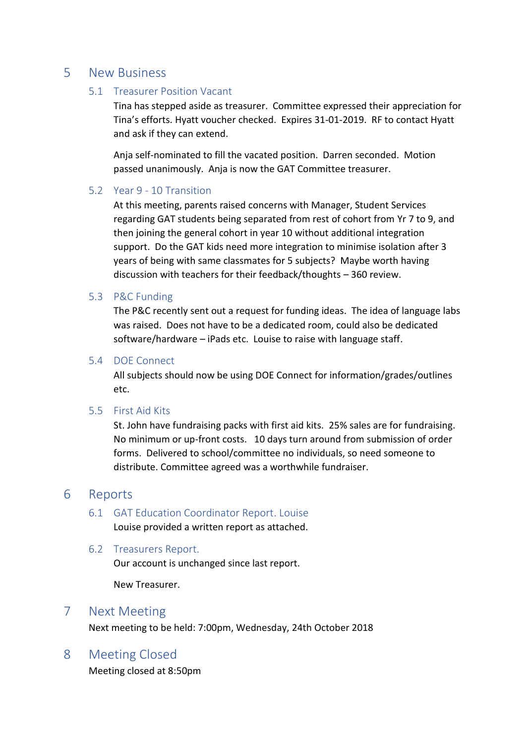# 5 New Business

## 5.1 Treasurer Position Vacant

Tina has stepped aside as treasurer. Committee expressed their appreciation for Tina's efforts. Hyatt voucher checked. Expires 31-01-2019. RF to contact Hyatt and ask if they can extend.

Anja self-nominated to fill the vacated position. Darren seconded. Motion passed unanimously. Anja is now the GAT Committee treasurer.

#### 5.2 Year 9 - 10 Transition

At this meeting, parents raised concerns with Manager, Student Services regarding GAT students being separated from rest of cohort from Yr 7 to 9, and then joining the general cohort in year 10 without additional integration support. Do the GAT kids need more integration to minimise isolation after 3 years of being with same classmates for 5 subjects? Maybe worth having discussion with teachers for their feedback/thoughts – 360 review.

#### 5.3 P&C Funding

The P&C recently sent out a request for funding ideas. The idea of language labs was raised. Does not have to be a dedicated room, could also be dedicated software/hardware – iPads etc. Louise to raise with language staff.

#### 5.4 DOE Connect

All subjects should now be using DOE Connect for information/grades/outlines etc.

## 5.5 First Aid Kits

St. John have fundraising packs with first aid kits. 25% sales are for fundraising. No minimum or up-front costs. 10 days turn around from submission of order forms. Delivered to school/committee no individuals, so need someone to distribute. Committee agreed was a worthwhile fundraiser.

# 6 Reports

#### 6.1 GAT Education Coordinator Report. Louise Louise provided a written report as attached.

#### 6.2 Treasurers Report.

Our account is unchanged since last report.

New Treasurer.

# 7 Next Meeting

Next meeting to be held: 7:00pm, Wednesday, 24th October 2018

# 8 Meeting Closed

Meeting closed at 8:50pm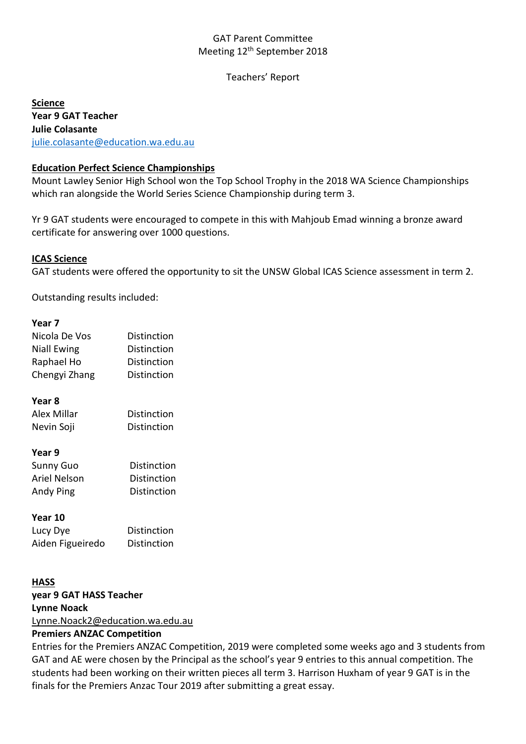## GAT Parent Committee Meeting 12th September 2018

#### Teachers' Report

**Science Year 9 GAT Teacher Julie Colasante**  julie.colasante@education.wa.edu.au

#### **Education Perfect Science Championships**

Mount Lawley Senior High School won the Top School Trophy in the 2018 WA Science Championships which ran alongside the World Series Science Championship during term 3.

Yr 9 GAT students were encouraged to compete in this with Mahjoub Emad winning a bronze award certificate for answering over 1000 questions.

#### **ICAS Science**

GAT students were offered the opportunity to sit the UNSW Global ICAS Science assessment in term 2.

Outstanding results included:

#### **Year 7**

| Nicola De Vos | Distinction |
|---------------|-------------|
| Niall Ewing   | Distinction |
| Raphael Ho    | Distinction |
| Chengyi Zhang | Distinction |

#### **Year 8**

| Alex Millar | Distinction |
|-------------|-------------|
| Nevin Soji  | Distinction |

#### **Year 9**

| Sunny Guo    | Distinction |
|--------------|-------------|
| Ariel Nelson | Distinction |
| Andy Ping    | Distinction |

#### **Year 10**

| Lucy Dye         | Distinction |
|------------------|-------------|
| Aiden Figueiredo | Distinction |

# **HASS year 9 GAT HASS Teacher Lynne Noack**  Lynne.Noack2@education.wa.edu.au

## **Premiers ANZAC Competition**

Entries for the Premiers ANZAC Competition, 2019 were completed some weeks ago and 3 students from GAT and AE were chosen by the Principal as the school's year 9 entries to this annual competition. The students had been working on their written pieces all term 3. Harrison Huxham of year 9 GAT is in the finals for the Premiers Anzac Tour 2019 after submitting a great essay.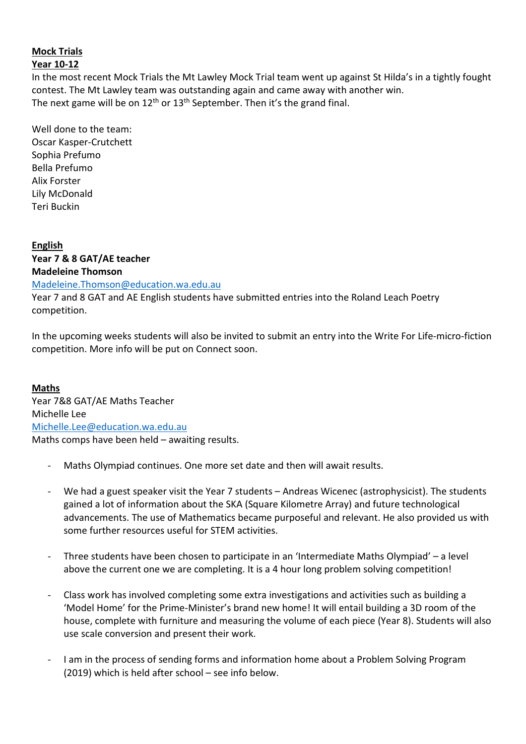# **Mock Trials Year 10-12**

In the most recent Mock Trials the Mt Lawley Mock Trial team went up against St Hilda's in a tightly fought contest. The Mt Lawley team was outstanding again and came away with another win. The next game will be on  $12<sup>th</sup>$  or  $13<sup>th</sup>$  September. Then it's the grand final.

Well done to the team: Oscar Kasper-Crutchett Sophia Prefumo Bella Prefumo Alix Forster Lily McDonald Teri Buckin

**English Year 7 & 8 GAT/AE teacher Madeleine Thomson**  Madeleine.Thomson@education.wa.edu.au

Year 7 and 8 GAT and AE English students have submitted entries into the Roland Leach Poetry competition.

In the upcoming weeks students will also be invited to submit an entry into the Write For Life-micro-fiction competition. More info will be put on Connect soon.

## **Maths**

Year 7&8 GAT/AE Maths Teacher Michelle Lee Michelle.Lee@education.wa.edu.au Maths comps have been held – awaiting results.

- Maths Olympiad continues. One more set date and then will await results.
- We had a guest speaker visit the Year 7 students Andreas Wicenec (astrophysicist). The students gained a lot of information about the SKA (Square Kilometre Array) and future technological advancements. The use of Mathematics became purposeful and relevant. He also provided us with some further resources useful for STEM activities.
- Three students have been chosen to participate in an 'Intermediate Maths Olympiad' a level above the current one we are completing. It is a 4 hour long problem solving competition!
- Class work has involved completing some extra investigations and activities such as building a 'Model Home' for the Prime-Minister's brand new home! It will entail building a 3D room of the house, complete with furniture and measuring the volume of each piece (Year 8). Students will also use scale conversion and present their work.
- I am in the process of sending forms and information home about a Problem Solving Program (2019) which is held after school – see info below.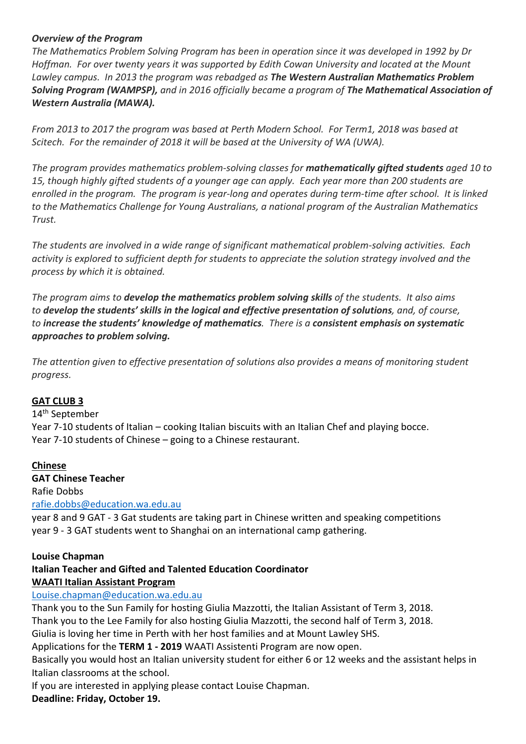## *Overview of the Program*

*The Mathematics Problem Solving Program has been in operation since it was developed in 1992 by Dr Hoffman. For over twenty years it was supported by Edith Cowan University and located at the Mount Lawley campus. In 2013 the program was rebadged as The Western Australian Mathematics Problem Solving Program (WAMPSP), and in 2016 officially became a program of The Mathematical Association of Western Australia (MAWA).*

*From 2013 to 2017 the program was based at Perth Modern School. For Term1, 2018 was based at Scitech. For the remainder of 2018 it will be based at the University of WA (UWA).*

*The program provides mathematics problem-solving classes for mathematically gifted students aged 10 to 15, though highly gifted students of a younger age can apply. Each year more than 200 students are enrolled in the program. The program is year-long and operates during term-time after school. It is linked to the Mathematics Challenge for Young Australians, a national program of the Australian Mathematics Trust.*

*The students are involved in a wide range of significant mathematical problem-solving activities. Each activity is explored to sufficient depth for students to appreciate the solution strategy involved and the process by which it is obtained.*

*The program aims to develop the mathematics problem solving skills of the students. It also aims to develop the students' skills in the logical and effective presentation of solutions, and, of course, to increase the students' knowledge of mathematics. There is a consistent emphasis on systematic approaches to problem solving.*

*The attention given to effective presentation of solutions also provides a means of monitoring student progress.*

## **GAT CLUB 3**

#### 14th September

Year 7-10 students of Italian – cooking Italian biscuits with an Italian Chef and playing bocce. Year 7-10 students of Chinese – going to a Chinese restaurant.

# **Chinese**

**GAT Chinese Teacher**  Rafie Dobbs rafie.dobbs@education.wa.edu.au

year 8 and 9 GAT - 3 Gat students are taking part in Chinese written and speaking competitions year 9 - 3 GAT students went to Shanghai on an international camp gathering.

## **Louise Chapman Italian Teacher and Gifted and Talented Education Coordinator WAATI Italian Assistant Program**

#### Louise.chapman@education.wa.edu.au

Thank you to the Sun Family for hosting Giulia Mazzotti, the Italian Assistant of Term 3, 2018. Thank you to the Lee Family for also hosting Giulia Mazzotti, the second half of Term 3, 2018. Giulia is loving her time in Perth with her host families and at Mount Lawley SHS. Applications for the **TERM 1 - 2019** WAATI Assistenti Program are now open. Basically you would host an Italian university student for either 6 or 12 weeks and the assistant helps in Italian classrooms at the school. If you are interested in applying please contact Louise Chapman.

## **Deadline: Friday, October 19.**